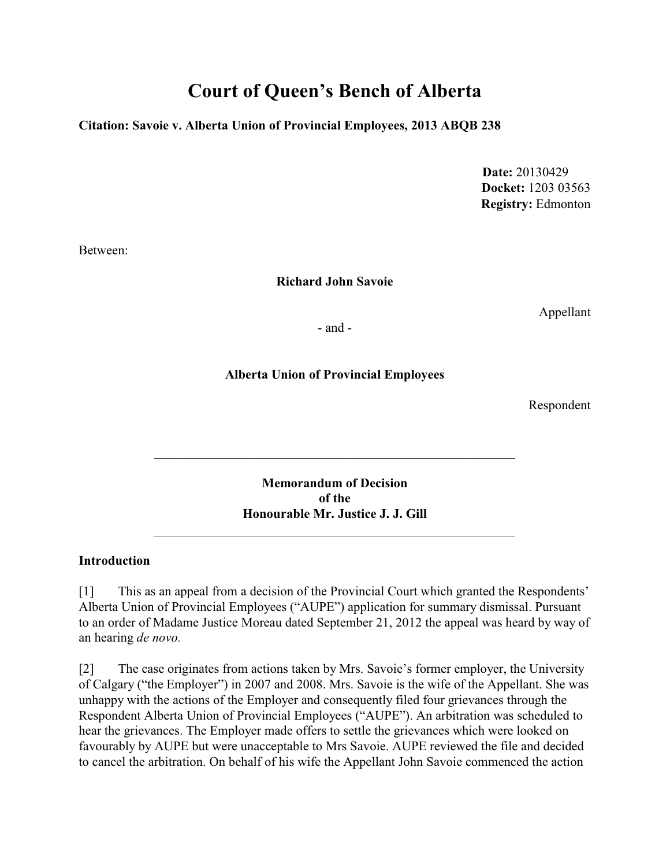# **Court of Queen's Bench of Alberta**

### **Citation: Savoie v. Alberta Union of Provincial Employees, 2013 ABQB 238**

 **Date:** 20130429 **Docket:** 1203 03563 **Registry:** Edmonton

Between:

### **Richard John Savoie**

Appellant

- and -

### **Alberta Union of Provincial Employees**

Respondent

**Memorandum of Decision of the Honourable Mr. Justice J. J. Gill**

\_\_\_\_\_\_\_\_\_\_\_\_\_\_\_\_\_\_\_\_\_\_\_\_\_\_\_\_\_\_\_\_\_\_\_\_\_\_\_\_\_\_\_\_\_\_\_\_\_\_\_\_\_\_\_

### **Introduction**

[1] This as an appeal from a decision of the Provincial Court which granted the Respondents' Alberta Union of Provincial Employees ("AUPE") application for summary dismissal. Pursuant to an order of Madame Justice Moreau dated September 21, 2012 the appeal was heard by way of an hearing *de novo.* 

[2] The case originates from actions taken by Mrs. Savoie's former employer, the University of Calgary ("the Employer") in 2007 and 2008. Mrs. Savoie is the wife of the Appellant. She was unhappy with the actions of the Employer and consequently filed four grievances through the Respondent Alberta Union of Provincial Employees ("AUPE"). An arbitration was scheduled to hear the grievances. The Employer made offers to settle the grievances which were looked on favourably by AUPE but were unacceptable to Mrs Savoie. AUPE reviewed the file and decided to cancel the arbitration. On behalf of his wife the Appellant John Savoie commenced the action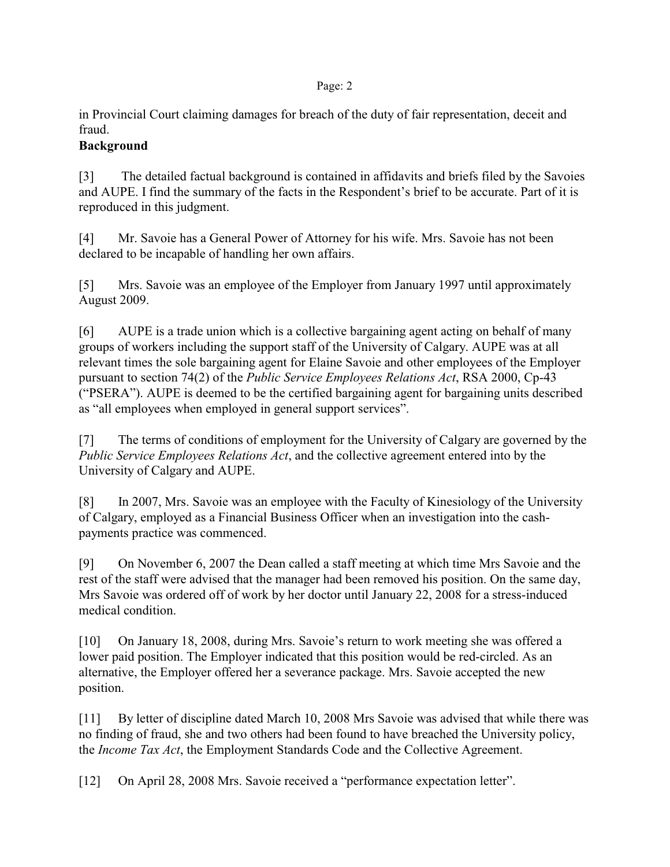in Provincial Court claiming damages for breach of the duty of fair representation, deceit and fraud.

# **Background**

[3] The detailed factual background is contained in affidavits and briefs filed by the Savoies and AUPE. I find the summary of the facts in the Respondent's brief to be accurate. Part of it is reproduced in this judgment.

[4] Mr. Savoie has a General Power of Attorney for his wife. Mrs. Savoie has not been declared to be incapable of handling her own affairs.

[5] Mrs. Savoie was an employee of the Employer from January 1997 until approximately August 2009.

[6] AUPE is a trade union which is a collective bargaining agent acting on behalf of many groups of workers including the support staff of the University of Calgary. AUPE was at all relevant times the sole bargaining agent for Elaine Savoie and other employees of the Employer pursuant to section 74(2) of the *Public Service Employees Relations Act*, RSA 2000, Cp-43 ("PSERA"). AUPE is deemed to be the certified bargaining agent for bargaining units described as "all employees when employed in general support services".

[7] The terms of conditions of employment for the University of Calgary are governed by the *Public Service Employees Relations Act*, and the collective agreement entered into by the University of Calgary and AUPE.

[8] In 2007, Mrs. Savoie was an employee with the Faculty of Kinesiology of the University of Calgary, employed as a Financial Business Officer when an investigation into the cashpayments practice was commenced.

[9] On November 6, 2007 the Dean called a staff meeting at which time Mrs Savoie and the rest of the staff were advised that the manager had been removed his position. On the same day, Mrs Savoie was ordered off of work by her doctor until January 22, 2008 for a stress-induced medical condition.

[10] On January 18, 2008, during Mrs. Savoie's return to work meeting she was offered a lower paid position. The Employer indicated that this position would be red-circled. As an alternative, the Employer offered her a severance package. Mrs. Savoie accepted the new position.

[11] By letter of discipline dated March 10, 2008 Mrs Savoie was advised that while there was no finding of fraud, she and two others had been found to have breached the University policy, the *Income Tax Act*, the Employment Standards Code and the Collective Agreement.

[12] On April 28, 2008 Mrs. Savoie received a "performance expectation letter".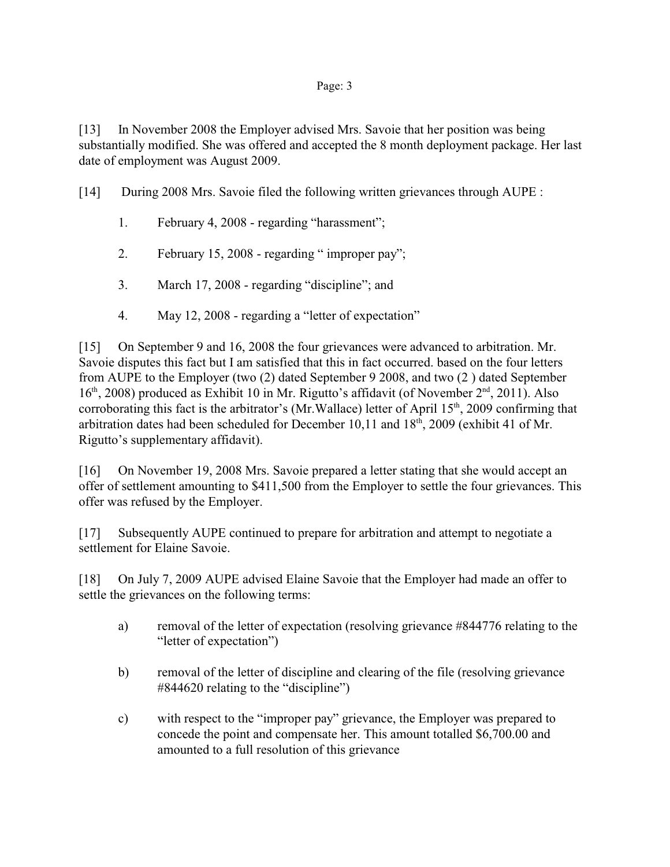[13] In November 2008 the Employer advised Mrs. Savoie that her position was being substantially modified. She was offered and accepted the 8 month deployment package. Her last date of employment was August 2009.

[14] During 2008 Mrs. Savoie filed the following written grievances through AUPE :

- 1. February 4, 2008 regarding "harassment";
- 2. February 15, 2008 regarding " improper pay";
- 3. March 17, 2008 regarding "discipline"; and
- 4. May 12, 2008 regarding a "letter of expectation"

[15] On September 9 and 16, 2008 the four grievances were advanced to arbitration. Mr. Savoie disputes this fact but I am satisfied that this in fact occurred. based on the four letters from AUPE to the Employer (two (2) dated September 9 2008, and two (2 ) dated September  $16<sup>th</sup>$ , 2008) produced as Exhibit 10 in Mr. Rigutto's affidavit (of November  $2<sup>nd</sup>$ , 2011). Also corroborating this fact is the arbitrator's (Mr.Wallace) letter of April  $15<sup>th</sup>$ , 2009 confirming that arbitration dates had been scheduled for December 10,11 and  $18<sup>th</sup>$ , 2009 (exhibit 41 of Mr. Rigutto's supplementary affidavit).

[16] On November 19, 2008 Mrs. Savoie prepared a letter stating that she would accept an offer of settlement amounting to \$411,500 from the Employer to settle the four grievances. This offer was refused by the Employer.

[17] Subsequently AUPE continued to prepare for arbitration and attempt to negotiate a settlement for Elaine Savoie.

[18] On July 7, 2009 AUPE advised Elaine Savoie that the Employer had made an offer to settle the grievances on the following terms:

- a) removal of the letter of expectation (resolving grievance #844776 relating to the "letter of expectation")
- b) removal of the letter of discipline and clearing of the file (resolving grievance #844620 relating to the "discipline")
- c) with respect to the "improper pay" grievance, the Employer was prepared to concede the point and compensate her. This amount totalled \$6,700.00 and amounted to a full resolution of this grievance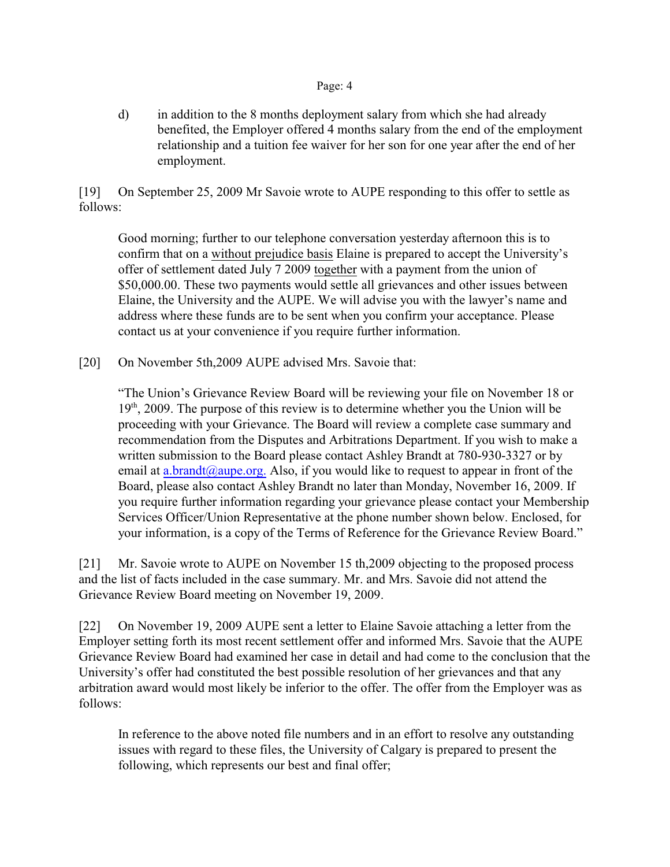d) in addition to the 8 months deployment salary from which she had already benefited, the Employer offered 4 months salary from the end of the employment relationship and a tuition fee waiver for her son for one year after the end of her employment.

[19] On September 25, 2009 Mr Savoie wrote to AUPE responding to this offer to settle as follows:

Good morning; further to our telephone conversation yesterday afternoon this is to confirm that on a without prejudice basis Elaine is prepared to accept the University's offer of settlement dated July 7 2009 together with a payment from the union of \$50,000.00. These two payments would settle all grievances and other issues between Elaine, the University and the AUPE. We will advise you with the lawyer's name and address where these funds are to be sent when you confirm your acceptance. Please contact us at your convenience if you require further information.

[20] On November 5th, 2009 AUPE advised Mrs. Savoie that:

"The Union's Grievance Review Board will be reviewing your file on November 18 or  $19<sup>th</sup>$ , 2009. The purpose of this review is to determine whether you the Union will be proceeding with your Grievance. The Board will review a complete case summary and recommendation from the Disputes and Arbitrations Department. If you wish to make a written submission to the Board please contact Ashley Brandt at 780-930-3327 or by email at [a.brandt@aupe.org.](mailto:a.brandt@aupe.org.) Also, if you would like to request to appear in front of the Board, please also contact Ashley Brandt no later than Monday, November 16, 2009. If you require further information regarding your grievance please contact your Membership Services Officer/Union Representative at the phone number shown below. Enclosed, for your information, is a copy of the Terms of Reference for the Grievance Review Board."

[21] Mr. Savoie wrote to AUPE on November 15 th,2009 objecting to the proposed process and the list of facts included in the case summary. Mr. and Mrs. Savoie did not attend the Grievance Review Board meeting on November 19, 2009.

[22] On November 19, 2009 AUPE sent a letter to Elaine Savoie attaching a letter from the Employer setting forth its most recent settlement offer and informed Mrs. Savoie that the AUPE Grievance Review Board had examined her case in detail and had come to the conclusion that the University's offer had constituted the best possible resolution of her grievances and that any arbitration award would most likely be inferior to the offer. The offer from the Employer was as follows:

In reference to the above noted file numbers and in an effort to resolve any outstanding issues with regard to these files, the University of Calgary is prepared to present the following, which represents our best and final offer;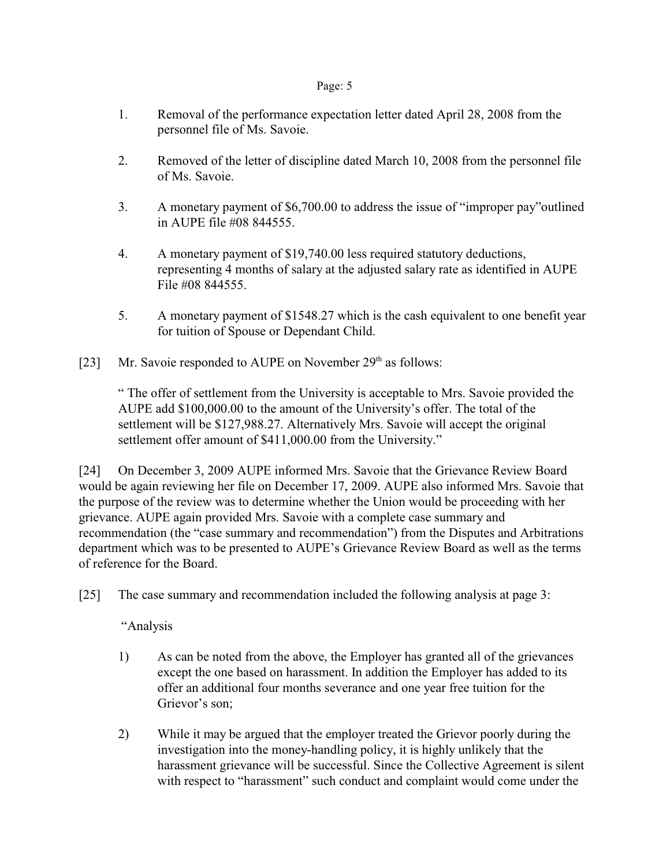- 1. Removal of the performance expectation letter dated April 28, 2008 from the personnel file of Ms. Savoie.
- 2. Removed of the letter of discipline dated March 10, 2008 from the personnel file of Ms. Savoie.
- 3. A monetary payment of \$6,700.00 to address the issue of "improper pay"outlined in AUPE file #08 844555.
- 4. A monetary payment of \$19,740.00 less required statutory deductions, representing 4 months of salary at the adjusted salary rate as identified in AUPE File #08 844555.
- 5. A monetary payment of \$1548.27 which is the cash equivalent to one benefit year for tuition of Spouse or Dependant Child.
- [23] Mr. Savoie responded to AUPE on November  $29<sup>th</sup>$  as follows:

" The offer of settlement from the University is acceptable to Mrs. Savoie provided the AUPE add \$100,000.00 to the amount of the University's offer. The total of the settlement will be \$127,988.27. Alternatively Mrs. Savoie will accept the original settlement offer amount of \$411,000.00 from the University."

[24] On December 3, 2009 AUPE informed Mrs. Savoie that the Grievance Review Board would be again reviewing her file on December 17, 2009. AUPE also informed Mrs. Savoie that the purpose of the review was to determine whether the Union would be proceeding with her grievance. AUPE again provided Mrs. Savoie with a complete case summary and recommendation (the "case summary and recommendation") from the Disputes and Arbitrations department which was to be presented to AUPE's Grievance Review Board as well as the terms of reference for the Board.

[25] The case summary and recommendation included the following analysis at page 3:

"Analysis

- 1) As can be noted from the above, the Employer has granted all of the grievances except the one based on harassment. In addition the Employer has added to its offer an additional four months severance and one year free tuition for the Grievor's son;
- 2) While it may be argued that the employer treated the Grievor poorly during the investigation into the money-handling policy, it is highly unlikely that the harassment grievance will be successful. Since the Collective Agreement is silent with respect to "harassment" such conduct and complaint would come under the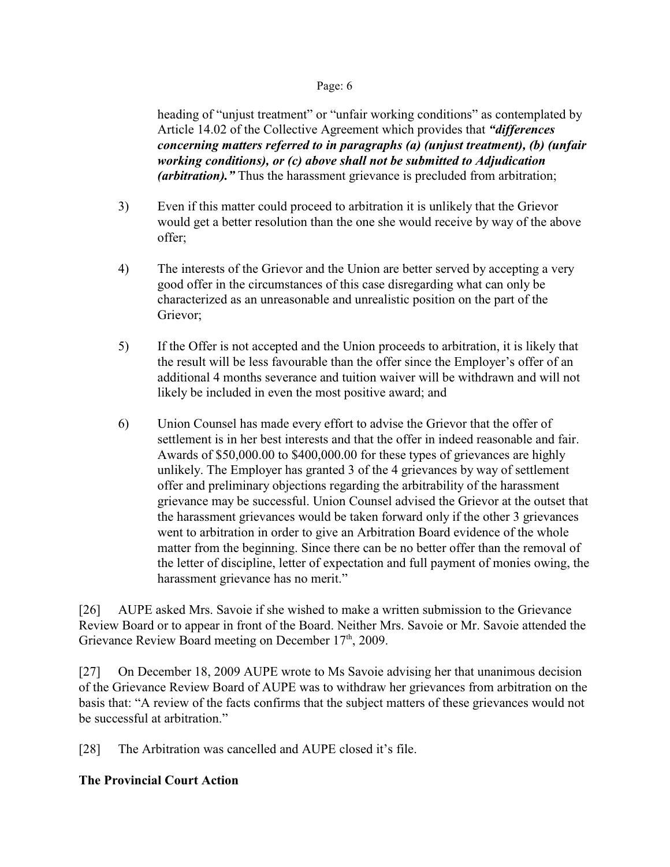heading of "unjust treatment" or "unfair working conditions" as contemplated by Article 14.02 of the Collective Agreement which provides that *"differences concerning matters referred to in paragraphs (a) (unjust treatment), (b) (unfair working conditions), or (c) above shall not be submitted to Adjudication (arbitration).*" Thus the harassment grievance is precluded from arbitration;

- 3) Even if this matter could proceed to arbitration it is unlikely that the Grievor would get a better resolution than the one she would receive by way of the above offer;
- 4) The interests of the Grievor and the Union are better served by accepting a very good offer in the circumstances of this case disregarding what can only be characterized as an unreasonable and unrealistic position on the part of the Grievor;
- 5) If the Offer is not accepted and the Union proceeds to arbitration, it is likely that the result will be less favourable than the offer since the Employer's offer of an additional 4 months severance and tuition waiver will be withdrawn and will not likely be included in even the most positive award; and
- 6) Union Counsel has made every effort to advise the Grievor that the offer of settlement is in her best interests and that the offer in indeed reasonable and fair. Awards of \$50,000.00 to \$400,000.00 for these types of grievances are highly unlikely. The Employer has granted 3 of the 4 grievances by way of settlement offer and preliminary objections regarding the arbitrability of the harassment grievance may be successful. Union Counsel advised the Grievor at the outset that the harassment grievances would be taken forward only if the other 3 grievances went to arbitration in order to give an Arbitration Board evidence of the whole matter from the beginning. Since there can be no better offer than the removal of the letter of discipline, letter of expectation and full payment of monies owing, the harassment grievance has no merit."

[26] AUPE asked Mrs. Savoie if she wished to make a written submission to the Grievance Review Board or to appear in front of the Board. Neither Mrs. Savoie or Mr. Savoie attended the Grievance Review Board meeting on December 17<sup>th</sup>, 2009.

[27] On December 18, 2009 AUPE wrote to Ms Savoie advising her that unanimous decision of the Grievance Review Board of AUPE was to withdraw her grievances from arbitration on the basis that: "A review of the facts confirms that the subject matters of these grievances would not be successful at arbitration."

[28] The Arbitration was cancelled and AUPE closed it's file.

### **The Provincial Court Action**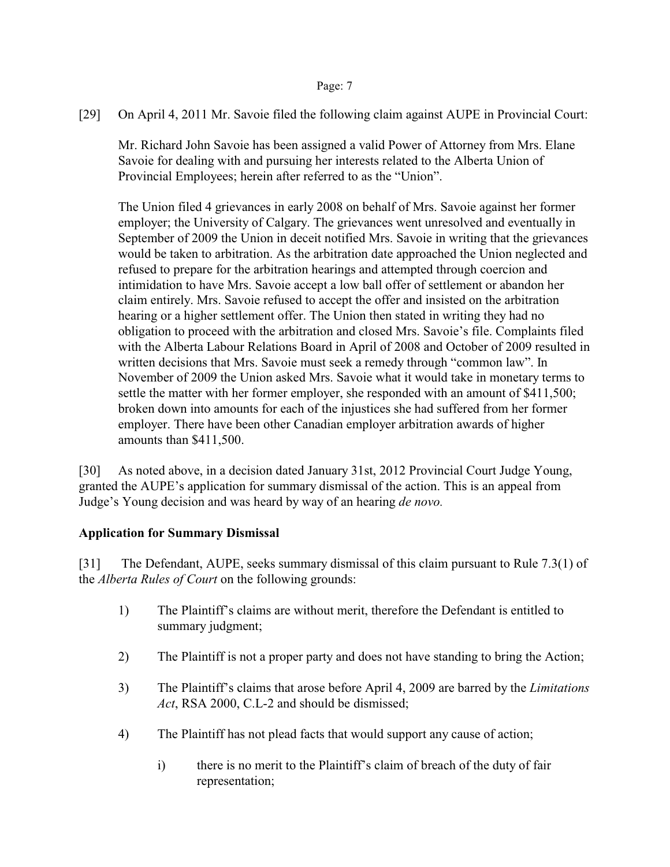[29] On April 4, 2011 Mr. Savoie filed the following claim against AUPE in Provincial Court:

Mr. Richard John Savoie has been assigned a valid Power of Attorney from Mrs. Elane Savoie for dealing with and pursuing her interests related to the Alberta Union of Provincial Employees; herein after referred to as the "Union".

The Union filed 4 grievances in early 2008 on behalf of Mrs. Savoie against her former employer; the University of Calgary. The grievances went unresolved and eventually in September of 2009 the Union in deceit notified Mrs. Savoie in writing that the grievances would be taken to arbitration. As the arbitration date approached the Union neglected and refused to prepare for the arbitration hearings and attempted through coercion and intimidation to have Mrs. Savoie accept a low ball offer of settlement or abandon her claim entirely. Mrs. Savoie refused to accept the offer and insisted on the arbitration hearing or a higher settlement offer. The Union then stated in writing they had no obligation to proceed with the arbitration and closed Mrs. Savoie's file. Complaints filed with the Alberta Labour Relations Board in April of 2008 and October of 2009 resulted in written decisions that Mrs. Savoie must seek a remedy through "common law". In November of 2009 the Union asked Mrs. Savoie what it would take in monetary terms to settle the matter with her former employer, she responded with an amount of \$411,500; broken down into amounts for each of the injustices she had suffered from her former employer. There have been other Canadian employer arbitration awards of higher amounts than \$411,500.

[30] As noted above, in a decision dated January 31st, 2012 Provincial Court Judge Young, granted the AUPE's application for summary dismissal of the action. This is an appeal from Judge's Young decision and was heard by way of an hearing *de novo.*

# **Application for Summary Dismissal**

[31] The Defendant, AUPE, seeks summary dismissal of this claim pursuant to Rule 7.3(1) of the *Alberta Rules of Court* on the following grounds:

- 1) The Plaintiff's claims are without merit, therefore the Defendant is entitled to summary judgment;
- 2) The Plaintiff is not a proper party and does not have standing to bring the Action;
- 3) The Plaintiff's claims that arose before April 4, 2009 are barred by the *Limitations Act*, RSA 2000, C.L-2 and should be dismissed;
- 4) The Plaintiff has not plead facts that would support any cause of action;
	- i) there is no merit to the Plaintiff's claim of breach of the duty of fair representation;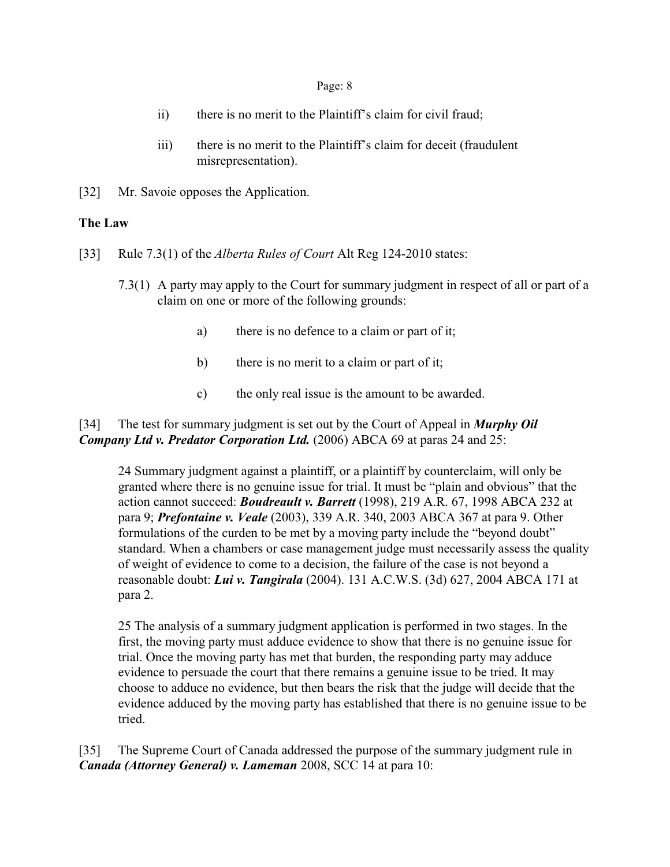- ii) there is no merit to the Plaintiff's claim for civil fraud;
- iii) there is no merit to the Plaintiff's claim for deceit (fraudulent misrepresentation).
- [32] Mr. Savoie opposes the Application.

### **The Law**

- [33] Rule 7.3(1) of the *Alberta Rules of Court* Alt Reg 124-2010 states:
	- 7.3(1) A party may apply to the Court for summary judgment in respect of all or part of a claim on one or more of the following grounds:
		- a) there is no defence to a claim or part of it;
		- b) there is no merit to a claim or part of it;
		- c) the only real issue is the amount to be awarded.

# [34] The test for summary judgment is set out by the Court of Appeal in *Murphy Oil Company Ltd v. Predator Corporation Ltd.* (2006) ABCA 69 at paras 24 and 25:

24 Summary judgment against a plaintiff, or a plaintiff by counterclaim, will only be granted where there is no genuine issue for trial. It must be "plain and obvious" that the action cannot succeed: *Boudreault v. Barrett* (1998), 219 A.R. 67, 1998 ABCA 232 at para 9; *Prefontaine v. Veale* (2003), 339 A.R. 340, 2003 ABCA 367 at para 9. Other formulations of the curden to be met by a moving party include the "beyond doubt" standard. When a chambers or case management judge must necessarily assess the quality of weight of evidence to come to a decision, the failure of the case is not beyond a reasonable doubt: *Lui v. Tangirala* (2004). 131 A.C.W.S. (3d) 627, 2004 ABCA 171 at para 2.

25 The analysis of a summary judgment application is performed in two stages. In the first, the moving party must adduce evidence to show that there is no genuine issue for trial. Once the moving party has met that burden, the responding party may adduce evidence to persuade the court that there remains a genuine issue to be tried. It may choose to adduce no evidence, but then bears the risk that the judge will decide that the evidence adduced by the moving party has established that there is no genuine issue to be tried.

[35] The Supreme Court of Canada addressed the purpose of the summary judgment rule in *Canada (Attorney General) v. Lameman* 2008, SCC 14 at para 10: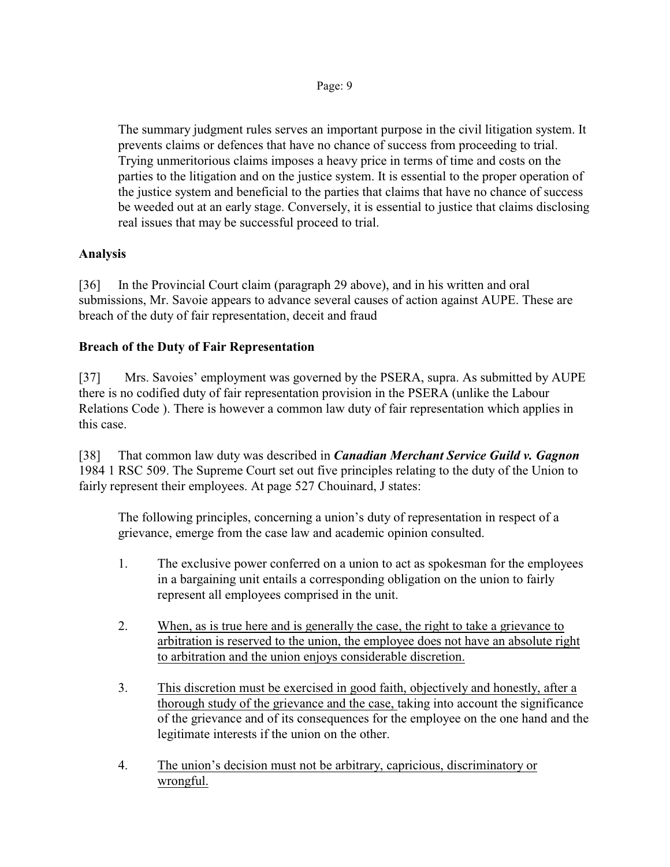The summary judgment rules serves an important purpose in the civil litigation system. It prevents claims or defences that have no chance of success from proceeding to trial. Trying unmeritorious claims imposes a heavy price in terms of time and costs on the parties to the litigation and on the justice system. It is essential to the proper operation of the justice system and beneficial to the parties that claims that have no chance of success be weeded out at an early stage. Conversely, it is essential to justice that claims disclosing real issues that may be successful proceed to trial.

# **Analysis**

[36] In the Provincial Court claim (paragraph 29 above), and in his written and oral submissions, Mr. Savoie appears to advance several causes of action against AUPE. These are breach of the duty of fair representation, deceit and fraud

# **Breach of the Duty of Fair Representation**

[37] Mrs. Savoies' employment was governed by the PSERA, supra. As submitted by AUPE there is no codified duty of fair representation provision in the PSERA (unlike the Labour Relations Code ). There is however a common law duty of fair representation which applies in this case.

[38] That common law duty was described in *Canadian Merchant Service Guild v. Gagnon* 1984 1 RSC 509. The Supreme Court set out five principles relating to the duty of the Union to fairly represent their employees. At page 527 Chouinard, J states:

The following principles, concerning a union's duty of representation in respect of a grievance, emerge from the case law and academic opinion consulted.

- 1. The exclusive power conferred on a union to act as spokesman for the employees in a bargaining unit entails a corresponding obligation on the union to fairly represent all employees comprised in the unit.
- 2. When, as is true here and is generally the case, the right to take a grievance to arbitration is reserved to the union, the employee does not have an absolute right to arbitration and the union enjoys considerable discretion.
- 3. This discretion must be exercised in good faith, objectively and honestly, after a thorough study of the grievance and the case, taking into account the significance of the grievance and of its consequences for the employee on the one hand and the legitimate interests if the union on the other.
- 4. The union's decision must not be arbitrary, capricious, discriminatory or wrongful.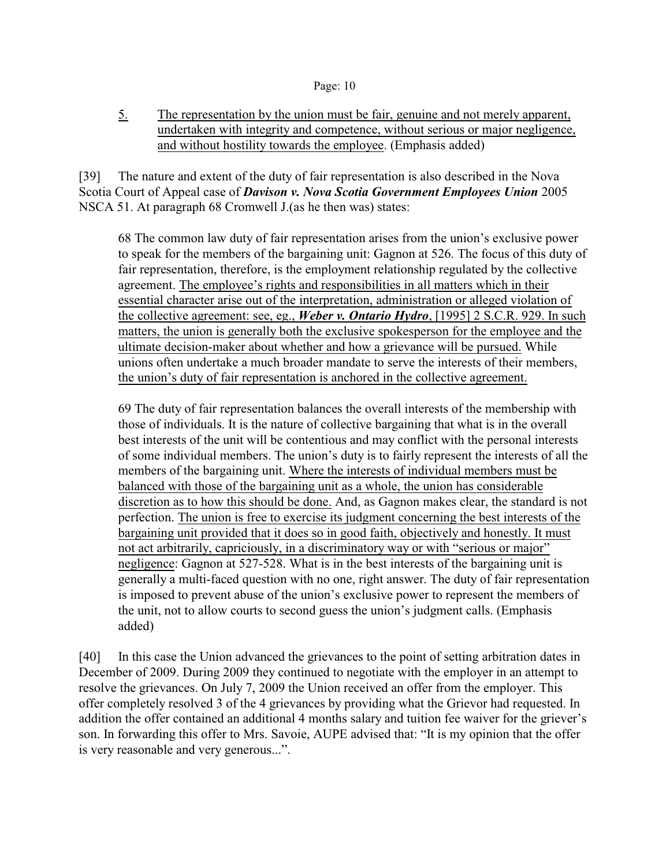5. The representation by the union must be fair, genuine and not merely apparent, undertaken with integrity and competence, without serious or major negligence, and without hostility towards the employee. (Emphasis added)

[39] The nature and extent of the duty of fair representation is also described in the Nova Scotia Court of Appeal case of *Davison v. Nova Scotia Government Employees Union* 2005 NSCA 51. At paragraph 68 Cromwell J.(as he then was) states:

68 The common law duty of fair representation arises from the union's exclusive power to speak for the members of the bargaining unit: Gagnon at 526. The focus of this duty of fair representation, therefore, is the employment relationship regulated by the collective agreement. The employee's rights and responsibilities in all matters which in their essential character arise out of the interpretation, administration or alleged violation of the collective agreement: see, eg., *Weber v. Ontario Hydro*, [1995] 2 S.C.R. 929. In such matters, the union is generally both the exclusive spokesperson for the employee and the ultimate decision-maker about whether and how a grievance will be pursued. While unions often undertake a much broader mandate to serve the interests of their members, the union's duty of fair representation is anchored in the collective agreement.

69 The duty of fair representation balances the overall interests of the membership with those of individuals. It is the nature of collective bargaining that what is in the overall best interests of the unit will be contentious and may conflict with the personal interests of some individual members. The union's duty is to fairly represent the interests of all the members of the bargaining unit. Where the interests of individual members must be balanced with those of the bargaining unit as a whole, the union has considerable discretion as to how this should be done. And, as Gagnon makes clear, the standard is not perfection. The union is free to exercise its judgment concerning the best interests of the bargaining unit provided that it does so in good faith, objectively and honestly. It must not act arbitrarily, capriciously, in a discriminatory way or with "serious or major" negligence: Gagnon at 527-528. What is in the best interests of the bargaining unit is generally a multi-faced question with no one, right answer. The duty of fair representation is imposed to prevent abuse of the union's exclusive power to represent the members of the unit, not to allow courts to second guess the union's judgment calls. (Emphasis added)

[40] In this case the Union advanced the grievances to the point of setting arbitration dates in December of 2009. During 2009 they continued to negotiate with the employer in an attempt to resolve the grievances. On July 7, 2009 the Union received an offer from the employer. This offer completely resolved 3 of the 4 grievances by providing what the Grievor had requested. In addition the offer contained an additional 4 months salary and tuition fee waiver for the griever's son. In forwarding this offer to Mrs. Savoie, AUPE advised that: "It is my opinion that the offer is very reasonable and very generous...".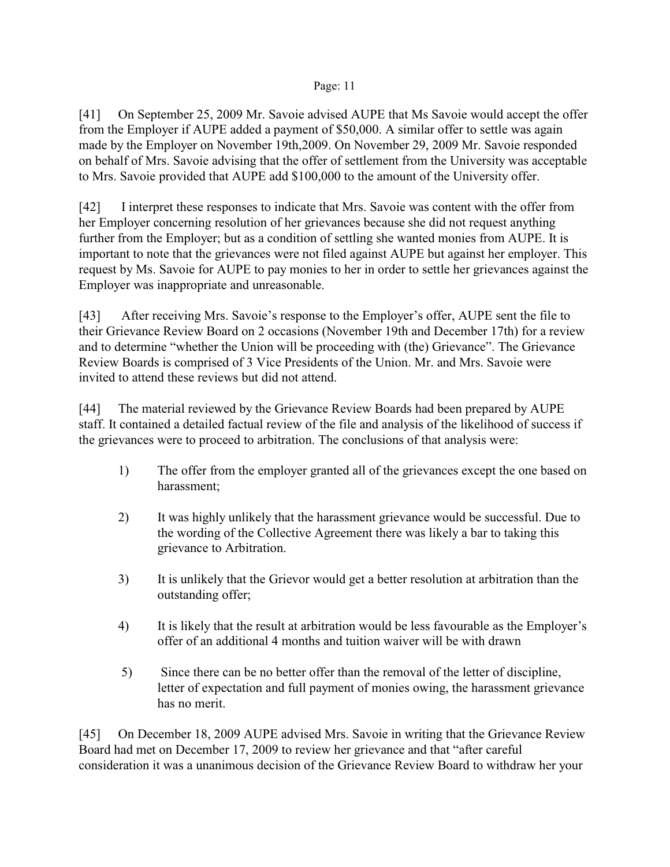[41] On September 25, 2009 Mr. Savoie advised AUPE that Ms Savoie would accept the offer from the Employer if AUPE added a payment of \$50,000. A similar offer to settle was again made by the Employer on November 19th,2009. On November 29, 2009 Mr. Savoie responded on behalf of Mrs. Savoie advising that the offer of settlement from the University was acceptable to Mrs. Savoie provided that AUPE add \$100,000 to the amount of the University offer.

[42] I interpret these responses to indicate that Mrs. Savoie was content with the offer from her Employer concerning resolution of her grievances because she did not request anything further from the Employer; but as a condition of settling she wanted monies from AUPE. It is important to note that the grievances were not filed against AUPE but against her employer. This request by Ms. Savoie for AUPE to pay monies to her in order to settle her grievances against the Employer was inappropriate and unreasonable.

[43] After receiving Mrs. Savoie's response to the Employer's offer, AUPE sent the file to their Grievance Review Board on 2 occasions (November 19th and December 17th) for a review and to determine "whether the Union will be proceeding with (the) Grievance". The Grievance Review Boards is comprised of 3 Vice Presidents of the Union. Mr. and Mrs. Savoie were invited to attend these reviews but did not attend.

[44] The material reviewed by the Grievance Review Boards had been prepared by AUPE staff. It contained a detailed factual review of the file and analysis of the likelihood of success if the grievances were to proceed to arbitration. The conclusions of that analysis were:

- 1) The offer from the employer granted all of the grievances except the one based on harassment;
- 2) It was highly unlikely that the harassment grievance would be successful. Due to the wording of the Collective Agreement there was likely a bar to taking this grievance to Arbitration.
- 3) It is unlikely that the Grievor would get a better resolution at arbitration than the outstanding offer;
- 4) It is likely that the result at arbitration would be less favourable as the Employer's offer of an additional 4 months and tuition waiver will be with drawn
- 5) Since there can be no better offer than the removal of the letter of discipline, letter of expectation and full payment of monies owing, the harassment grievance has no merit.

[45] On December 18, 2009 AUPE advised Mrs. Savoie in writing that the Grievance Review Board had met on December 17, 2009 to review her grievance and that "after careful consideration it was a unanimous decision of the Grievance Review Board to withdraw her your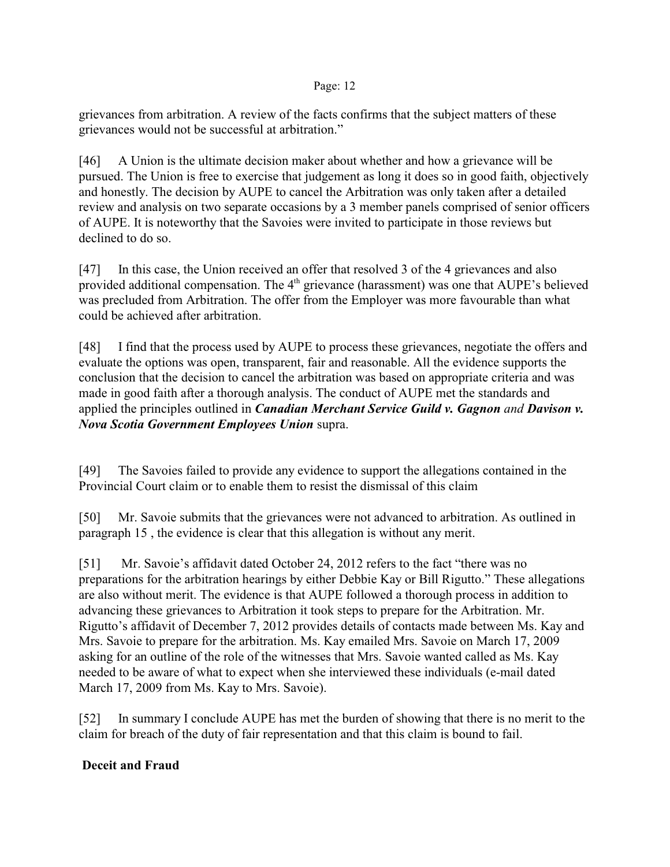grievances from arbitration. A review of the facts confirms that the subject matters of these grievances would not be successful at arbitration."

[46] A Union is the ultimate decision maker about whether and how a grievance will be pursued. The Union is free to exercise that judgement as long it does so in good faith, objectively and honestly. The decision by AUPE to cancel the Arbitration was only taken after a detailed review and analysis on two separate occasions by a 3 member panels comprised of senior officers of AUPE. It is noteworthy that the Savoies were invited to participate in those reviews but declined to do so.

[47] In this case, the Union received an offer that resolved 3 of the 4 grievances and also provided additional compensation. The 4<sup>th</sup> grievance (harassment) was one that AUPE's believed was precluded from Arbitration. The offer from the Employer was more favourable than what could be achieved after arbitration.

[48] I find that the process used by AUPE to process these grievances, negotiate the offers and evaluate the options was open, transparent, fair and reasonable. All the evidence supports the conclusion that the decision to cancel the arbitration was based on appropriate criteria and was made in good faith after a thorough analysis. The conduct of AUPE met the standards and applied the principles outlined in *Canadian Merchant Service Guild v. Gagnon and Davison v. Nova Scotia Government Employees Union* supra.

[49] The Savoies failed to provide any evidence to support the allegations contained in the Provincial Court claim or to enable them to resist the dismissal of this claim

[50] Mr. Savoie submits that the grievances were not advanced to arbitration. As outlined in paragraph 15 , the evidence is clear that this allegation is without any merit.

[51] Mr. Savoie's affidavit dated October 24, 2012 refers to the fact "there was no preparations for the arbitration hearings by either Debbie Kay or Bill Rigutto." These allegations are also without merit. The evidence is that AUPE followed a thorough process in addition to advancing these grievances to Arbitration it took steps to prepare for the Arbitration. Mr. Rigutto's affidavit of December 7, 2012 provides details of contacts made between Ms. Kay and Mrs. Savoie to prepare for the arbitration. Ms. Kay emailed Mrs. Savoie on March 17, 2009 asking for an outline of the role of the witnesses that Mrs. Savoie wanted called as Ms. Kay needed to be aware of what to expect when she interviewed these individuals (e-mail dated March 17, 2009 from Ms. Kay to Mrs. Savoie).

[52] In summary I conclude AUPE has met the burden of showing that there is no merit to the claim for breach of the duty of fair representation and that this claim is bound to fail.

# **Deceit and Fraud**